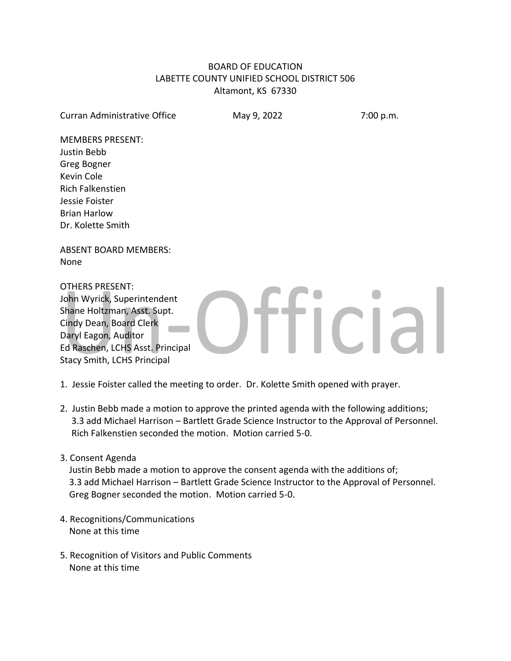# BOARD OF EDUCATION LABETTE COUNTY UNIFIED SCHOOL DISTRICT 506 Altamont, KS 67330

Curran Administrative Office May 9, 2022 7:00 p.m.

**Hicial** 

MEMBERS PRESENT: Justin Bebb Greg Bogner Kevin Cole Rich Falkenstien Jessie Foister Brian Harlow Dr. Kolette Smith

ABSENT BOARD MEMBERS: None

OTHERS PRESENT: John Wyrick, Superintendent Shane Holtzman, Asst. Supt. Cindy Dean, Board Clerk Daryl Eagon, Auditor Ed Raschen, LCHS Asst. Principal Stacy Smith, LCHS Principal

1. Jessie Foister called the meeting to order. Dr. Kolette Smith opened with prayer.

- 2. Justin Bebb made a motion to approve the printed agenda with the following additions; 3.3 add Michael Harrison – Bartlett Grade Science Instructor to the Approval of Personnel. Rich Falkenstien seconded the motion. Motion carried 5-0.
- 3. Consent Agenda

 Justin Bebb made a motion to approve the consent agenda with the additions of; 3.3 add Michael Harrison – Bartlett Grade Science Instructor to the Approval of Personnel. Greg Bogner seconded the motion. Motion carried 5-0.

- 4. Recognitions/Communications None at this time
- 5. Recognition of Visitors and Public Comments None at this time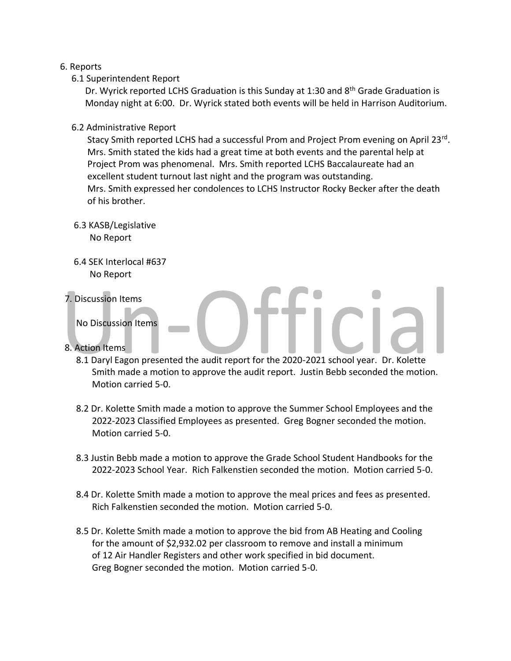## 6. Reports

6.1 Superintendent Report

Dr. Wyrick reported LCHS Graduation is this Sunday at 1:30 and 8<sup>th</sup> Grade Graduation is Monday night at 6:00. Dr. Wyrick stated both events will be held in Harrison Auditorium.

6.2 Administrative Report

Stacy Smith reported LCHS had a successful Prom and Project Prom evening on April 23rd. Mrs. Smith stated the kids had a great time at both events and the parental help at Project Prom was phenomenal. Mrs. Smith reported LCHS Baccalaureate had an excellent student turnout last night and the program was outstanding. Mrs. Smith expressed her condolences to LCHS Instructor Rocky Becker after the death of his brother.

- 6.3 KASB/Legislative No Report
- 6.4 SEK Interlocal #637 No Report
- 7. Discussion Items

No Discussion Items

- 8. Action Items
	- 8.1 Daryl Eagon presented the audit report for the 2020-2021 school year. Dr. Kolette Smith made a motion to approve the audit report. Justin Bebb seconded the motion. Motion carried 5-0.
	- 8.2 Dr. Kolette Smith made a motion to approve the Summer School Employees and the 2022-2023 Classified Employees as presented. Greg Bogner seconded the motion. Motion carried 5-0.
	- 8.3 Justin Bebb made a motion to approve the Grade School Student Handbooks for the 2022-2023 School Year. Rich Falkenstien seconded the motion. Motion carried 5-0.
	- 8.4 Dr. Kolette Smith made a motion to approve the meal prices and fees as presented. Rich Falkenstien seconded the motion. Motion carried 5-0.
	- 8.5 Dr. Kolette Smith made a motion to approve the bid from AB Heating and Cooling for the amount of \$2,932.02 per classroom to remove and install a minimum of 12 Air Handler Registers and other work specified in bid document. Greg Bogner seconded the motion. Motion carried 5-0.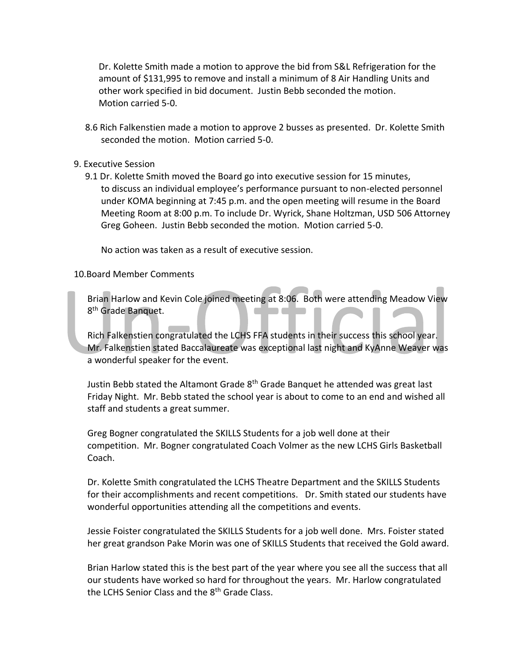Dr. Kolette Smith made a motion to approve the bid from S&L Refrigeration for the amount of \$131,995 to remove and install a minimum of 8 Air Handling Units and other work specified in bid document. Justin Bebb seconded the motion. Motion carried 5-0.

- 8.6 Rich Falkenstien made a motion to approve 2 busses as presented. Dr. Kolette Smith seconded the motion. Motion carried 5-0.
- 9. Executive Session
	- 9.1 Dr. Kolette Smith moved the Board go into executive session for 15 minutes, to discuss an individual employee's performance pursuant to non-elected personnel under KOMA beginning at 7:45 p.m. and the open meeting will resume in the Board Meeting Room at 8:00 p.m. To include Dr. Wyrick, Shane Holtzman, USD 506 Attorney Greg Goheen. Justin Bebb seconded the motion. Motion carried 5-0.

No action was taken as a result of executive session.

### 10.Board Member Comments

 Brian Harlow and Kevin Cole joined meeting at 8:06. Both were attending Meadow View 8<sup>th</sup> Grade Banquet. an an an

 Rich Falkenstien congratulated the LCHS FFA students in their success this school year. Mr. Falkenstien stated Baccalaureate was exceptional last night and KyAnne Weaver was a wonderful speaker for the event.

 Justin Bebb stated the Altamont Grade 8th Grade Banquet he attended was great last Friday Night. Mr. Bebb stated the school year is about to come to an end and wished all staff and students a great summer.

 Greg Bogner congratulated the SKILLS Students for a job well done at their competition. Mr. Bogner congratulated Coach Volmer as the new LCHS Girls Basketball Coach.

 Dr. Kolette Smith congratulated the LCHS Theatre Department and the SKILLS Students for their accomplishments and recent competitions. Dr. Smith stated our students have wonderful opportunities attending all the competitions and events.

 Jessie Foister congratulated the SKILLS Students for a job well done. Mrs. Foister stated her great grandson Pake Morin was one of SKILLS Students that received the Gold award.

 Brian Harlow stated this is the best part of the year where you see all the success that all our students have worked so hard for throughout the years. Mr. Harlow congratulated the LCHS Senior Class and the 8<sup>th</sup> Grade Class.